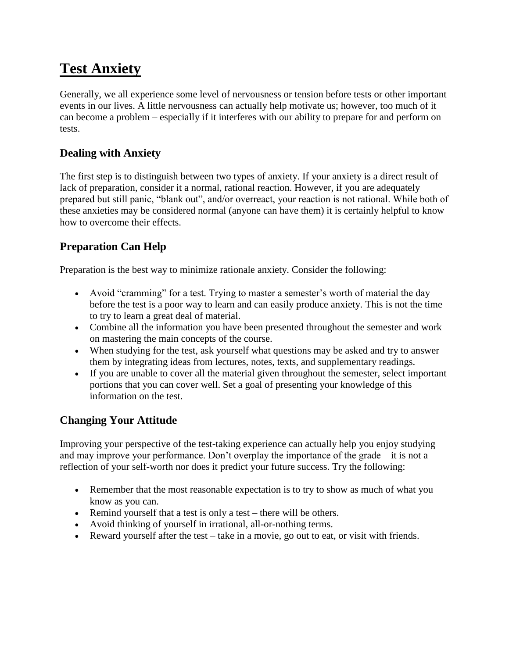# **Test Anxiety**

Generally, we all experience some level of nervousness or tension before tests or other important events in our lives. A little nervousness can actually help motivate us; however, too much of it can become a problem – especially if it interferes with our ability to prepare for and perform on tests.

### **Dealing with Anxiety**

The first step is to distinguish between two types of anxiety. If your anxiety is a direct result of lack of preparation, consider it a normal, rational reaction. However, if you are adequately prepared but still panic, "blank out", and/or overreact, your reaction is not rational. While both of these anxieties may be considered normal (anyone can have them) it is certainly helpful to know how to overcome their effects.

## **Preparation Can Help**

Preparation is the best way to minimize rationale anxiety. Consider the following:

- Avoid "cramming" for a test. Trying to master a semester's worth of material the day before the test is a poor way to learn and can easily produce anxiety. This is not the time to try to learn a great deal of material.
- Combine all the information you have been presented throughout the semester and work on mastering the main concepts of the course.
- When studying for the test, ask yourself what questions may be asked and try to answer them by integrating ideas from lectures, notes, texts, and supplementary readings.
- If you are unable to cover all the material given throughout the semester, select important portions that you can cover well. Set a goal of presenting your knowledge of this information on the test.

#### **Changing Your Attitude**

Improving your perspective of the test-taking experience can actually help you enjoy studying and may improve your performance. Don't overplay the importance of the grade – it is not a reflection of your self-worth nor does it predict your future success. Try the following:

- Remember that the most reasonable expectation is to try to show as much of what you know as you can.
- Remind yourself that a test is only a test there will be others.
- Avoid thinking of yourself in irrational, all-or-nothing terms.
- Reward yourself after the test take in a movie, go out to eat, or visit with friends.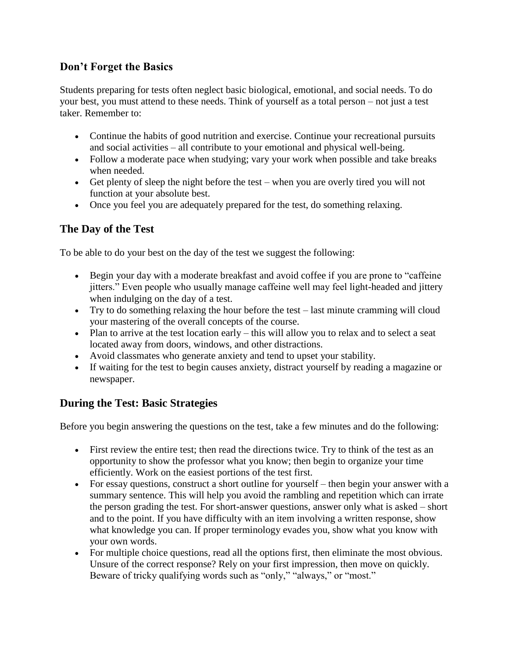#### **Don't Forget the Basics**

Students preparing for tests often neglect basic biological, emotional, and social needs. To do your best, you must attend to these needs. Think of yourself as a total person – not just a test taker. Remember to:

- Continue the habits of good nutrition and exercise. Continue your recreational pursuits and social activities – all contribute to your emotional and physical well-being.
- Follow a moderate pace when studying; vary your work when possible and take breaks when needed.
- Get plenty of sleep the night before the test when you are overly tired you will not function at your absolute best.
- Once you feel you are adequately prepared for the test, do something relaxing.

#### **The Day of the Test**

To be able to do your best on the day of the test we suggest the following:

- Begin your day with a moderate breakfast and avoid coffee if you are prone to "caffeine jitters." Even people who usually manage caffeine well may feel light-headed and jittery when indulging on the day of a test.
- Try to do something relaxing the hour before the test last minute cramming will cloud your mastering of the overall concepts of the course.
- Plan to arrive at the test location early this will allow you to relax and to select a seat located away from doors, windows, and other distractions.
- Avoid classmates who generate anxiety and tend to upset your stability.
- If waiting for the test to begin causes anxiety, distract yourself by reading a magazine or newspaper.

#### **During the Test: Basic Strategies**

Before you begin answering the questions on the test, take a few minutes and do the following:

- First review the entire test; then read the directions twice. Try to think of the test as an opportunity to show the professor what you know; then begin to organize your time efficiently. Work on the easiest portions of the test first.
- For essay questions, construct a short outline for yourself then begin your answer with a summary sentence. This will help you avoid the rambling and repetition which can irrate the person grading the test. For short-answer questions, answer only what is asked – short and to the point. If you have difficulty with an item involving a written response, show what knowledge you can. If proper terminology evades you, show what you know with your own words.
- For multiple choice questions, read all the options first, then eliminate the most obvious. Unsure of the correct response? Rely on your first impression, then move on quickly. Beware of tricky qualifying words such as "only," "always," or "most."